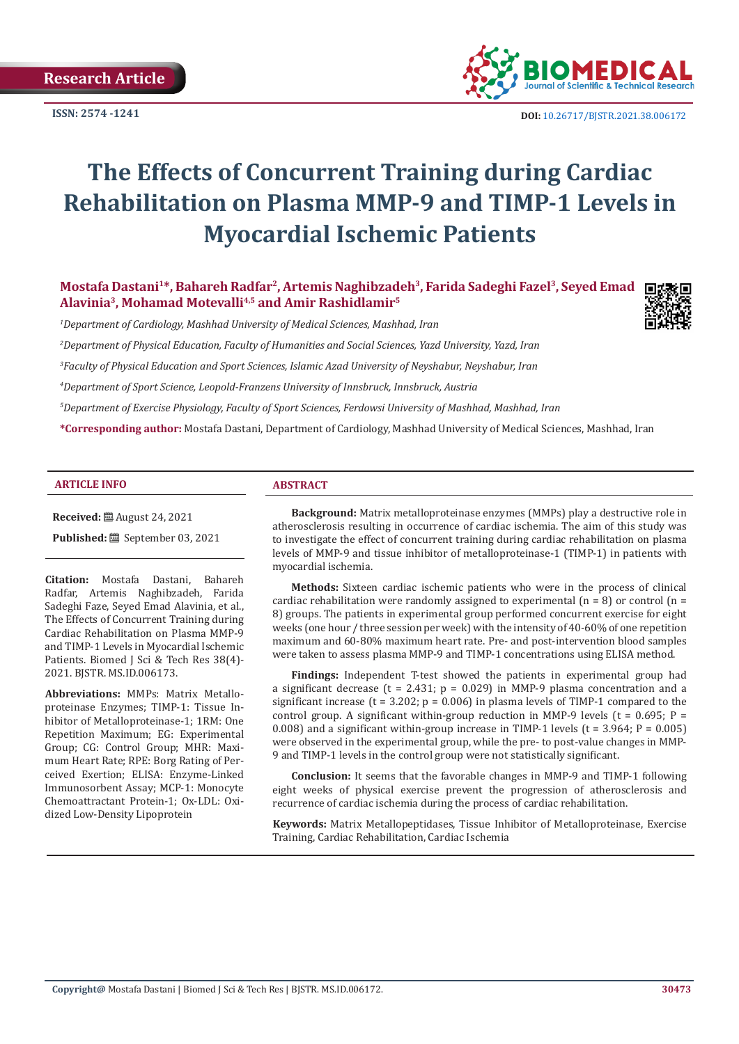**ISSN: 2574 -1241**



 **DOI:** [10.26717/BJSTR.2021.38.006172](https://dx.doi.org/10.26717/BJSTR.2021.38.006172)

# **The Effects of Concurrent Training during Cardiac Rehabilitation on Plasma MMP-9 and TIMP-1 Levels in Myocardial Ischemic Patients**

Mostafa Dastani<sup>1\*</sup>, Bahareh Radfar<sup>2</sup>, Artemis Naghibzadeh<sup>3</sup>, Farida Sadeghi Fazel<sup>3</sup>, Seyed Emad **Alavinia3, Mohamad Motevalli4,5 and Amir Rashidlamir5**

*1 Department of Cardiology, Mashhad University of Medical Sciences, Mashhad, Iran*

*2 Department of Physical Education, Faculty of Humanities and Social Sciences, Yazd University, Yazd, Iran*

*3 Faculty of Physical Education and Sport Sciences, Islamic Azad University of Neyshabur, Neyshabur, Iran*

*4 Department of Sport Science, Leopold-Franzens University of Innsbruck, Innsbruck, Austria*

*5 Department of Exercise Physiology, Faculty of Sport Sciences, Ferdowsi University of Mashhad, Mashhad, Iran*

**\*Corresponding author:** Mostafa Dastani, Department of Cardiology, Mashhad University of Medical Sciences, Mashhad, Iran

#### **ARTICLE INFO ABSTRACT**

**Received:** ■ August 24, 2021

**Published:** September 03, 2021

**Citation:** Mostafa Dastani, Bahareh Radfar, Artemis Naghibzadeh, Farida Sadeghi Faze, Seyed Emad Alavinia, et al., The Effects of Concurrent Training during Cardiac Rehabilitation on Plasma MMP-9 and TIMP-1 Levels in Myocardial Ischemic Patients. Biomed J Sci & Tech Res 38(4)-2021. BJSTR. MS.ID.006173.

**Abbreviations:** MMPs: Matrix Metalloproteinase Enzymes; TIMP-1: Tissue Inhibitor of Metalloproteinase-1; 1RM: One Repetition Maximum; EG: Experimental Group; CG: Control Group; MHR: Maximum Heart Rate; RPE: Borg Rating of Perceived Exertion; ELISA: Enzyme-Linked Immunosorbent Assay; MCP-1: Monocyte Chemoattractant Protein-1; Ox-LDL: Oxidized Low-Density Lipoprotein

**Background:** Matrix metalloproteinase enzymes (MMPs) play a destructive role in atherosclerosis resulting in occurrence of cardiac ischemia. The aim of this study was to investigate the effect of concurrent training during cardiac rehabilitation on plasma levels of MMP-9 and tissue inhibitor of metalloproteinase-1 (TIMP-1) in patients with myocardial ischemia.

**Methods:** Sixteen cardiac ischemic patients who were in the process of clinical cardiac rehabilitation were randomly assigned to experimental  $(n = 8)$  or control  $(n = 1)$ 8) groups. The patients in experimental group performed concurrent exercise for eight weeks (one hour / three session per week) with the intensity of 40-60% of one repetition maximum and 60-80% maximum heart rate. Pre- and post-intervention blood samples were taken to assess plasma MMP-9 and TIMP-1 concentrations using ELISA method.

**Findings:** Independent T-test showed the patients in experimental group had a significant decrease (t = 2.431;  $p = 0.029$ ) in MMP-9 plasma concentration and a significant increase ( $t = 3.202$ ;  $p = 0.006$ ) in plasma levels of TIMP-1 compared to the control group. A significant within-group reduction in MMP-9 levels ( $t = 0.695$ ; P = 0.008) and a significant within-group increase in TIMP-1 levels ( $t = 3.964$ ;  $P = 0.005$ ) were observed in the experimental group, while the pre- to post-value changes in MMP-9 and TIMP-1 levels in the control group were not statistically significant.

**Conclusion:** It seems that the favorable changes in MMP-9 and TIMP-1 following eight weeks of physical exercise prevent the progression of atherosclerosis and recurrence of cardiac ischemia during the process of cardiac rehabilitation.

**Keywords:** Matrix Metallopeptidases, Tissue Inhibitor of Metalloproteinase, Exercise Training, Cardiac Rehabilitation, Cardiac Ischemia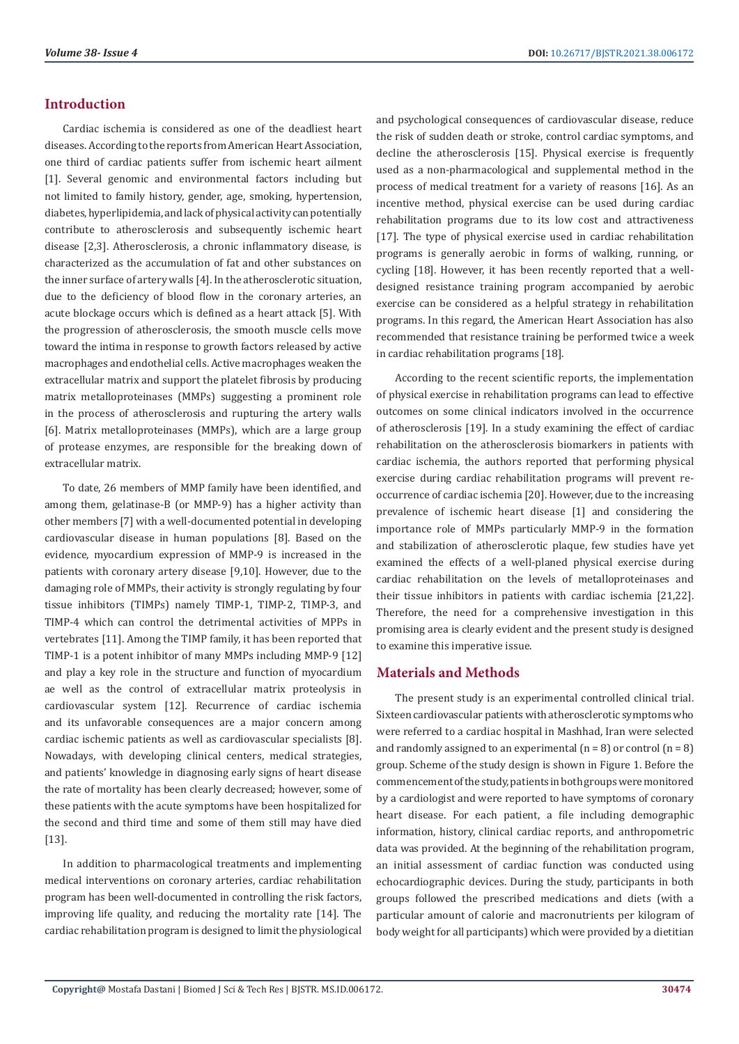# **Introduction**

Cardiac ischemia is considered as one of the deadliest heart diseases. According to the reports from American Heart Association, one third of cardiac patients suffer from ischemic heart ailment [1]. Several genomic and environmental factors including but not limited to family history, gender, age, smoking, hypertension, diabetes, hyperlipidemia, and lack of physical activity can potentially contribute to atherosclerosis and subsequently ischemic heart disease [2,3]. Atherosclerosis, a chronic inflammatory disease, is characterized as the accumulation of fat and other substances on the inner surface of artery walls [4]. In the atherosclerotic situation, due to the deficiency of blood flow in the coronary arteries, an acute blockage occurs which is defined as a heart attack [5]. With the progression of atherosclerosis, the smooth muscle cells move toward the intima in response to growth factors released by active macrophages and endothelial cells. Active macrophages weaken the extracellular matrix and support the platelet fibrosis by producing matrix metalloproteinases (MMPs) suggesting a prominent role in the process of atherosclerosis and rupturing the artery walls [6]. Matrix metalloproteinases (MMPs), which are a large group of protease enzymes, are responsible for the breaking down of extracellular matrix.

To date, 26 members of MMP family have been identified, and among them, gelatinase-B (or MMP-9) has a higher activity than other members [7] with a well-documented potential in developing cardiovascular disease in human populations [8]. Based on the evidence, myocardium expression of MMP-9 is increased in the patients with coronary artery disease [9,10]. However, due to the damaging role of MMPs, their activity is strongly regulating by four tissue inhibitors (TIMPs) namely TIMP-1, TIMP-2, TIMP-3, and TIMP-4 which can control the detrimental activities of MPPs in vertebrates [11]. Among the TIMP family, it has been reported that TIMP-1 is a potent inhibitor of many MMPs including MMP-9 [12] and play a key role in the structure and function of myocardium ae well as the control of extracellular matrix proteolysis in cardiovascular system [12]. Recurrence of cardiac ischemia and its unfavorable consequences are a major concern among cardiac ischemic patients as well as cardiovascular specialists [8]. Nowadays, with developing clinical centers, medical strategies, and patients' knowledge in diagnosing early signs of heart disease the rate of mortality has been clearly decreased; however, some of these patients with the acute symptoms have been hospitalized for the second and third time and some of them still may have died [13].

In addition to pharmacological treatments and implementing medical interventions on coronary arteries, cardiac rehabilitation program has been well-documented in controlling the risk factors, improving life quality, and reducing the mortality rate [14]. The cardiac rehabilitation program is designed to limit the physiological and psychological consequences of cardiovascular disease, reduce the risk of sudden death or stroke, control cardiac symptoms, and decline the atherosclerosis [15]. Physical exercise is frequently used as a non-pharmacological and supplemental method in the process of medical treatment for a variety of reasons [16]. As an incentive method, physical exercise can be used during cardiac rehabilitation programs due to its low cost and attractiveness [17]. The type of physical exercise used in cardiac rehabilitation programs is generally aerobic in forms of walking, running, or cycling [18]. However, it has been recently reported that a welldesigned resistance training program accompanied by aerobic exercise can be considered as a helpful strategy in rehabilitation programs. In this regard, the American Heart Association has also recommended that resistance training be performed twice a week in cardiac rehabilitation programs [18].

According to the recent scientific reports, the implementation of physical exercise in rehabilitation programs can lead to effective outcomes on some clinical indicators involved in the occurrence of atherosclerosis [19]. In a study examining the effect of cardiac rehabilitation on the atherosclerosis biomarkers in patients with cardiac ischemia, the authors reported that performing physical exercise during cardiac rehabilitation programs will prevent reoccurrence of cardiac ischemia [20]. However, due to the increasing prevalence of ischemic heart disease [1] and considering the importance role of MMPs particularly MMP-9 in the formation and stabilization of atherosclerotic plaque, few studies have yet examined the effects of a well-planed physical exercise during cardiac rehabilitation on the levels of metalloproteinases and their tissue inhibitors in patients with cardiac ischemia [21,22]. Therefore, the need for a comprehensive investigation in this promising area is clearly evident and the present study is designed to examine this imperative issue.

# **Materials and Methods**

The present study is an experimental controlled clinical trial. Sixteen cardiovascular patients with atherosclerotic symptoms who were referred to a cardiac hospital in Mashhad, Iran were selected and randomly assigned to an experimental  $(n = 8)$  or control  $(n = 8)$ group. Scheme of the study design is shown in Figure 1. Before the commencement of the study, patients in both groups were monitored by a cardiologist and were reported to have symptoms of coronary heart disease. For each patient, a file including demographic information, history, clinical cardiac reports, and anthropometric data was provided. At the beginning of the rehabilitation program, an initial assessment of cardiac function was conducted using echocardiographic devices. During the study, participants in both groups followed the prescribed medications and diets (with a particular amount of calorie and macronutrients per kilogram of body weight for all participants) which were provided by a dietitian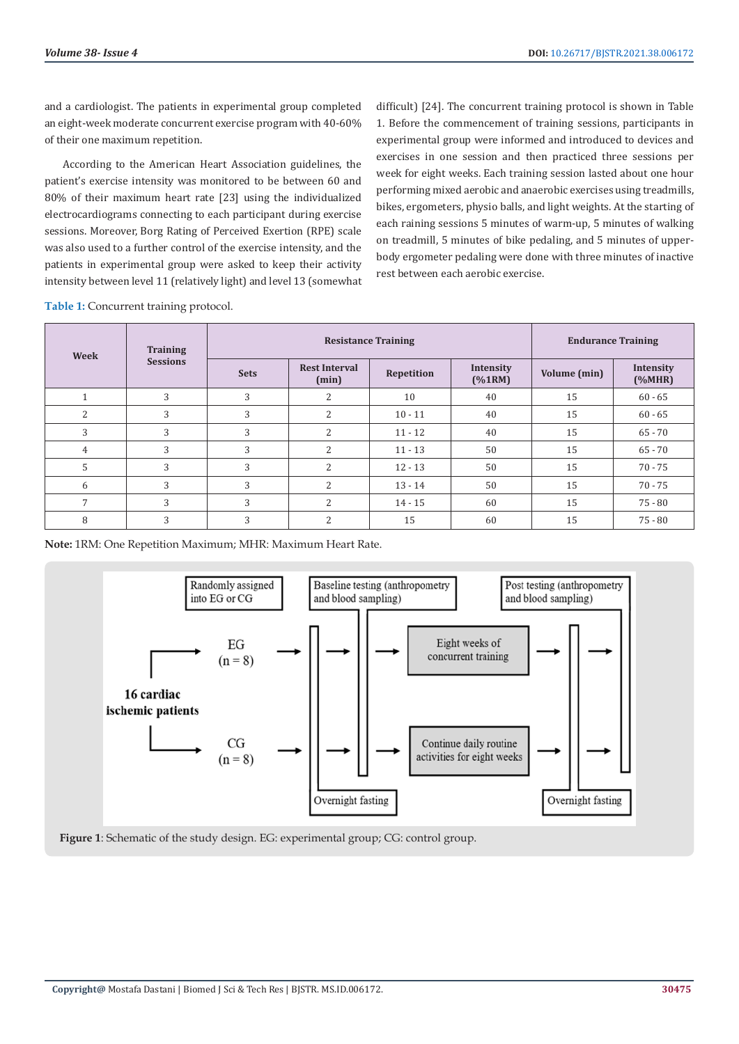and a cardiologist. The patients in experimental group completed an eight-week moderate concurrent exercise program with 40-60% of their one maximum repetition.

According to the American Heart Association guidelines, the patient's exercise intensity was monitored to be between 60 and 80% of their maximum heart rate [23] using the individualized electrocardiograms connecting to each participant during exercise sessions. Moreover, Borg Rating of Perceived Exertion (RPE) scale was also used to a further control of the exercise intensity, and the patients in experimental group were asked to keep their activity intensity between level 11 (relatively light) and level 13 (somewhat

difficult) [24]. The concurrent training protocol is shown in Table 1. Before the commencement of training sessions, participants in experimental group were informed and introduced to devices and exercises in one session and then practiced three sessions per week for eight weeks. Each training session lasted about one hour performing mixed aerobic and anaerobic exercises using treadmills, bikes, ergometers, physio balls, and light weights. At the starting of each raining sessions 5 minutes of warm-up, 5 minutes of walking on treadmill, 5 minutes of bike pedaling, and 5 minutes of upperbody ergometer pedaling were done with three minutes of inactive rest between each aerobic exercise.

**Table 1:** Concurrent training protocol.

| Week                 | <b>Training</b><br><b>Sessions</b> | <b>Resistance Training</b> |                               |            |                     | <b>Endurance Training</b> |                     |
|----------------------|------------------------------------|----------------------------|-------------------------------|------------|---------------------|---------------------------|---------------------|
|                      |                                    | <b>Sets</b>                | <b>Rest Interval</b><br>(min) | Repetition | Intensity<br>(%1RM) | Volume (min)              | Intensity<br>(%MHR) |
| $\blacktriangleleft$ | 3                                  | 3                          | 2                             | 10         | 40                  | 15                        | $60 - 65$           |
| $\overline{2}$       | 3                                  | 3                          | 2                             | $10 - 11$  | 40                  | 15                        | $60 - 65$           |
| 3                    | 3                                  | 3                          | $\overline{2}$                | $11 - 12$  | 40                  | 15                        | $65 - 70$           |
| $\overline{4}$       | 3                                  | 3                          | $\overline{2}$                | $11 - 13$  | 50                  | 15                        | $65 - 70$           |
| 5                    | 3                                  | 3                          | 2                             | $12 - 13$  | 50                  | 15                        | $70 - 75$           |
| 6                    | 3                                  | 3                          | 2                             | $13 - 14$  | 50                  | 15                        | $70 - 75$           |
| 7                    | 3                                  | 3                          | 2                             | $14 - 15$  | 60                  | 15                        | $75 - 80$           |
| 8                    | 3                                  | 3                          | $\overline{2}$                | 15         | 60                  | 15                        | $75 - 80$           |

**Note:** 1RM: One Repetition Maximum; MHR: Maximum Heart Rate.



**Figure 1**: Schematic of the study design. EG: experimental group; CG: control group.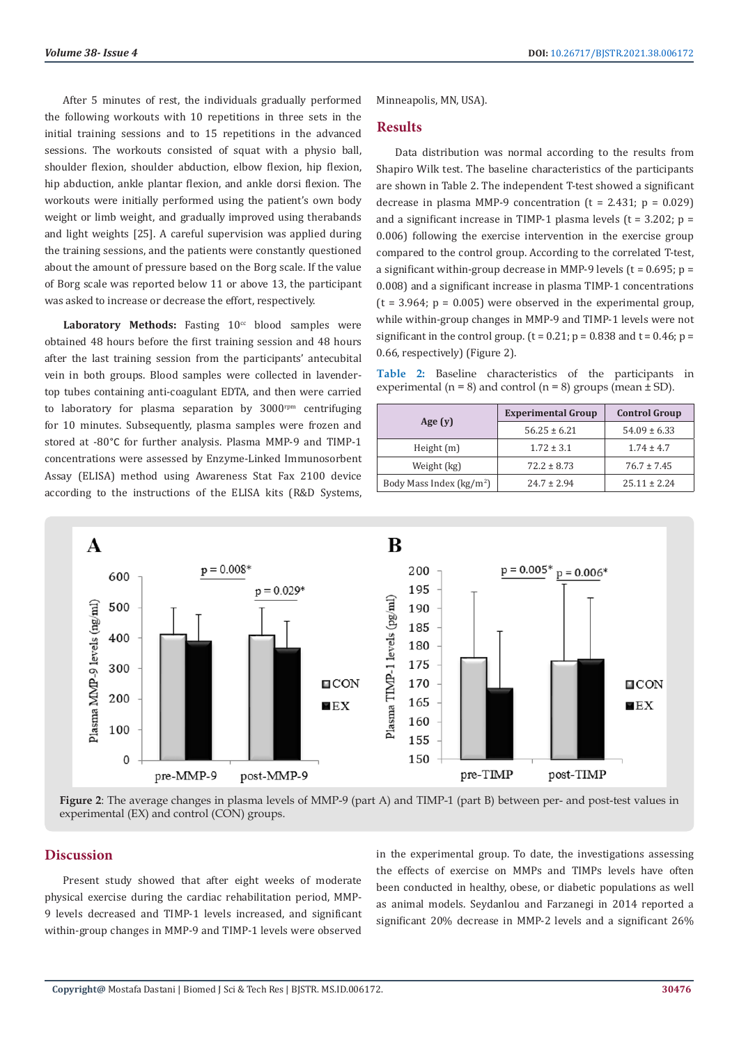After 5 minutes of rest, the individuals gradually performed the following workouts with 10 repetitions in three sets in the initial training sessions and to 15 repetitions in the advanced sessions. The workouts consisted of squat with a physio ball, shoulder flexion, shoulder abduction, elbow flexion, hip flexion, hip abduction, ankle plantar flexion, and ankle dorsi flexion. The workouts were initially performed using the patient's own body weight or limb weight, and gradually improved using therabands and light weights [25]. A careful supervision was applied during the training sessions, and the patients were constantly questioned about the amount of pressure based on the Borg scale. If the value of Borg scale was reported below 11 or above 13, the participant was asked to increase or decrease the effort, respectively.

**Laboratory Methods:** Fasting  $10<sup>cc</sup>$  blood samples were obtained 48 hours before the first training session and 48 hours after the last training session from the participants' antecubital vein in both groups. Blood samples were collected in lavendertop tubes containing anti-coagulant EDTA, and then were carried to laboratory for plasma separation by  $3000$ <sup>rpm</sup> centrifuging for 10 minutes. Subsequently, plasma samples were frozen and stored at -80°C for further analysis. Plasma MMP-9 and TIMP-1 concentrations were assessed by Enzyme-Linked Immunosorbent Assay (ELISA) method using Awareness Stat Fax 2100 device according to the instructions of the ELISA kits (R&D Systems, Minneapolis, MN, USA).

#### **Results**

Data distribution was normal according to the results from Shapiro Wilk test. The baseline characteristics of the participants are shown in Table 2. The independent T-test showed a significant decrease in plasma MMP-9 concentration  $(t = 2.431; p = 0.029)$ and a significant increase in TIMP-1 plasma levels ( $t = 3.202$ ;  $p =$ 0.006) following the exercise intervention in the exercise group compared to the control group. According to the correlated T-test, a significant within-group decrease in MMP-9 levels ( $t = 0.695$ ;  $p =$ 0.008) and a significant increase in plasma TIMP-1 concentrations  $(t = 3.964; p = 0.005)$  were observed in the experimental group, while within-group changes in MMP-9 and TIMP-1 levels were not significant in the control group.  $(t = 0.21; p = 0.838$  and  $t = 0.46; p = 0.46$ 0.66, respectively) (Figure 2).

**Table 2:** Baseline characteristics of the participants in experimental ( $n = 8$ ) and control ( $n = 8$ ) groups (mean  $\pm$  SD).

|                                     | <b>Experimental Group</b> | <b>Control Group</b> |  |
|-------------------------------------|---------------------------|----------------------|--|
| Age $(y)$                           | $56.25 \pm 6.21$          | $54.09 \pm 6.33$     |  |
| Height $(m)$                        | $1.72 \pm 3.1$            | $1.74 \pm 4.7$       |  |
| Weight (kg)                         | $72.2 \pm 8.73$           | $76.7 \pm 7.45$      |  |
| Body Mass Index ( $\text{kg/m}^2$ ) | $24.7 + 2.94$             | $25.11 + 2.24$       |  |



**Figure 2**: The average changes in plasma levels of MMP-9 (part A) and TIMP-1 (part B) between per- and post-test values in experimental (EX) and control (CON) groups.

#### **Discussion**

Present study showed that after eight weeks of moderate physical exercise during the cardiac rehabilitation period, MMP-9 levels decreased and TIMP-1 levels increased, and significant within-group changes in MMP-9 and TIMP-1 levels were observed

in the experimental group. To date, the investigations assessing the effects of exercise on MMPs and TIMPs levels have often been conducted in healthy, obese, or diabetic populations as well as animal models. Seydanlou and Farzanegi in 2014 reported a significant 20% decrease in MMP-2 levels and a significant 26%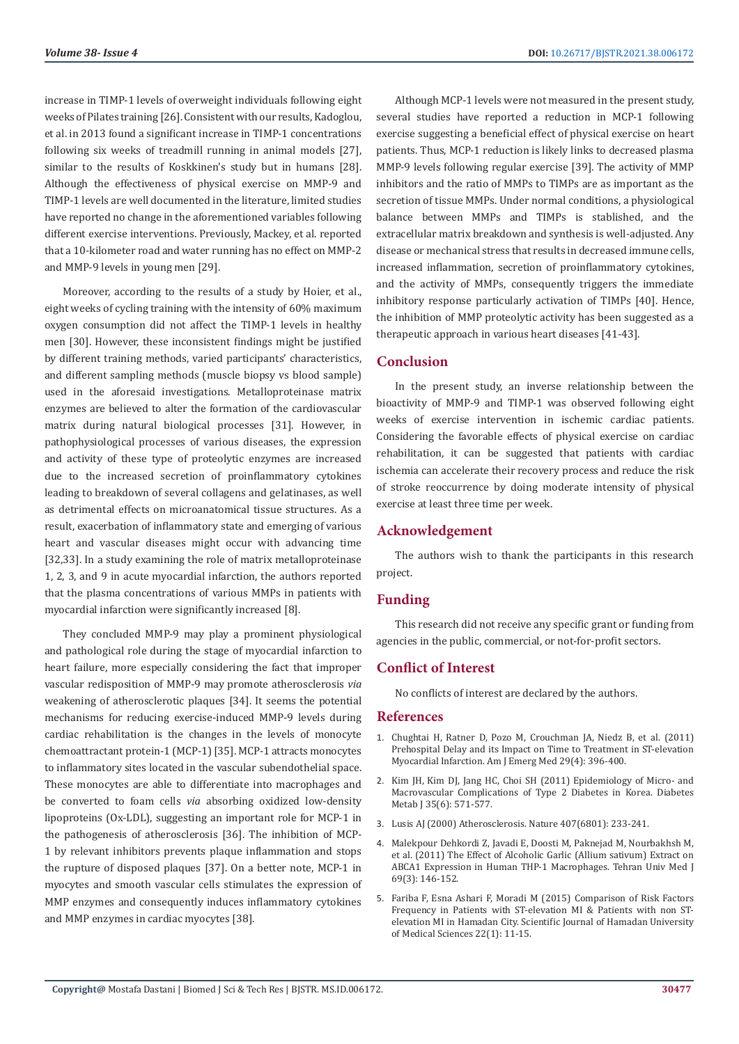increase in TIMP-1 levels of overweight individuals following eight weeks of Pilates training [26]. Consistent with our results, Kadoglou, et al. in 2013 found a significant increase in TIMP-1 concentrations following six weeks of treadmill running in animal models [27], similar to the results of Koskkinen's study but in humans [28]. Although the effectiveness of physical exercise on MMP-9 and TIMP-1 levels are well documented in the literature, limited studies have reported no change in the aforementioned variables following different exercise interventions. Previously, Mackey, et al. reported that a 10-kilometer road and water running has no effect on MMP-2 and MMP-9 levels in young men [29].

Moreover, according to the results of a study by Hoier, et al., eight weeks of cycling training with the intensity of 60% maximum oxygen consumption did not affect the TIMP-1 levels in healthy men [30]. However, these inconsistent findings might be justified by different training methods, varied participants' characteristics, and different sampling methods (muscle biopsy vs blood sample) used in the aforesaid investigations. Metalloproteinase matrix enzymes are believed to alter the formation of the cardiovascular matrix during natural biological processes [31]. However, in pathophysiological processes of various diseases, the expression and activity of these type of proteolytic enzymes are increased due to the increased secretion of proinflammatory cytokines leading to breakdown of several collagens and gelatinases, as well as detrimental effects on microanatomical tissue structures. As a result, exacerbation of inflammatory state and emerging of various heart and vascular diseases might occur with advancing time [32,33]. In a study examining the role of matrix metalloproteinase 1, 2, 3, and 9 in acute myocardial infarction, the authors reported that the plasma concentrations of various MMPs in patients with myocardial infarction were significantly increased [8].

They concluded MMP-9 may play a prominent physiological and pathological role during the stage of myocardial infarction to heart failure, more especially considering the fact that improper vascular redisposition of MMP-9 may promote atherosclerosis *via* weakening of atherosclerotic plaques [34]. It seems the potential mechanisms for reducing exercise-induced MMP-9 levels during cardiac rehabilitation is the changes in the levels of monocyte chemoattractant protein-1 (MCP-1) [35]. MCP-1 attracts monocytes to inflammatory sites located in the vascular subendothelial space. These monocytes are able to differentiate into macrophages and be converted to foam cells *via* absorbing oxidized low-density lipoproteins (Ox-LDL), suggesting an important role for MCP-1 in the pathogenesis of atherosclerosis [36]. The inhibition of MCP-1 by relevant inhibitors prevents plaque inflammation and stops the rupture of disposed plaques [37]. On a better note, MCP-1 in myocytes and smooth vascular cells stimulates the expression of MMP enzymes and consequently induces inflammatory cytokines and MMP enzymes in cardiac myocytes [38].

Although MCP-1 levels were not measured in the present study, several studies have reported a reduction in MCP-1 following exercise suggesting a beneficial effect of physical exercise on heart patients. Thus, MCP-1 reduction is likely links to decreased plasma MMP-9 levels following regular exercise [39]. The activity of MMP inhibitors and the ratio of MMPs to TIMPs are as important as the secretion of tissue MMPs. Under normal conditions, a physiological balance between MMPs and TIMPs is stablished, and the extracellular matrix breakdown and synthesis is well-adjusted. Any disease or mechanical stress that results in decreased immune cells, increased inflammation, secretion of proinflammatory cytokines, and the activity of MMPs, consequently triggers the immediate inhibitory response particularly activation of TIMPs [40]. Hence, the inhibition of MMP proteolytic activity has been suggested as a therapeutic approach in various heart diseases [41-43].

# **Conclusion**

In the present study, an inverse relationship between the bioactivity of MMP-9 and TIMP-1 was observed following eight weeks of exercise intervention in ischemic cardiac patients. Considering the favorable effects of physical exercise on cardiac rehabilitation, it can be suggested that patients with cardiac ischemia can accelerate their recovery process and reduce the risk of stroke reoccurrence by doing moderate intensity of physical exercise at least three time per week.

#### **Acknowledgement**

The authors wish to thank the participants in this research project.

# **Funding**

This research did not receive any specific grant or funding from agencies in the public, commercial, or not-for-profit sectors.

# **Conflict of Interest**

No conflicts of interest are declared by the authors.

#### **References**

- 1. [Chughtai H, Ratner D, Pozo M, Crouchman JA, Niedz B, et al. \(2011\)](https://pubmed.ncbi.nlm.nih.gov/20825810/) [Prehospital Delay and its Impact on Time to Treatment in ST-elevation](https://pubmed.ncbi.nlm.nih.gov/20825810/) [Myocardial Infarction. Am J Emerg Med 29\(4\): 396-400.](https://pubmed.ncbi.nlm.nih.gov/20825810/)
- 2. [Kim JH, Kim DJ, Jang HC, Choi SH \(2011\) Epidemiology of Micro- and](https://www.ncbi.nlm.nih.gov/pmc/articles/PMC3253966/) [Macrovascular Complications of Type 2 Diabetes in Korea. Diabetes](https://www.ncbi.nlm.nih.gov/pmc/articles/PMC3253966/) [Metab J 35\(6\): 571-577.](https://www.ncbi.nlm.nih.gov/pmc/articles/PMC3253966/)
- 3. [Lusis AJ \(2000\) Atherosclerosis. Nature 407\(6801\): 233-241.](https://pubmed.ncbi.nlm.nih.gov/11001066/)
- 4. [Malekpour Dehkordi Z, Javadi E, Doosti M, Paknejad M, Nourbakhsh M,](https://www.researchgate.net/publication/215511074_The_effect_of_Alcoholic_garlic_Allium_sativum_extract_on_ABCA1_expression_in_human_THP-1_macrophages) [et al. \(2011\) The Effect of Alcoholic Garlic \(Allium sativum\) Extract on](https://www.researchgate.net/publication/215511074_The_effect_of_Alcoholic_garlic_Allium_sativum_extract_on_ABCA1_expression_in_human_THP-1_macrophages) [ABCA1 Expression in Human THP-1 Macrophages. Tehran Univ Med J](https://www.researchgate.net/publication/215511074_The_effect_of_Alcoholic_garlic_Allium_sativum_extract_on_ABCA1_expression_in_human_THP-1_macrophages) [69\(3\): 146-152.](https://www.researchgate.net/publication/215511074_The_effect_of_Alcoholic_garlic_Allium_sativum_extract_on_ABCA1_expression_in_human_THP-1_macrophages)
- 5. [Fariba F, Esna Ashari F, Moradi M \(2015\) Comparison of Risk Factors](https://www.sid.ir/en/Journal/ViewPaper.aspx?ID=445380) [Frequency in Patients with ST-elevation MI & Patients with non ST](https://www.sid.ir/en/Journal/ViewPaper.aspx?ID=445380)[elevation MI in Hamadan City. Scientific Journal of Hamadan University](https://www.sid.ir/en/Journal/ViewPaper.aspx?ID=445380) [of Medical Sciences 22\(1\): 11-15.](https://www.sid.ir/en/Journal/ViewPaper.aspx?ID=445380)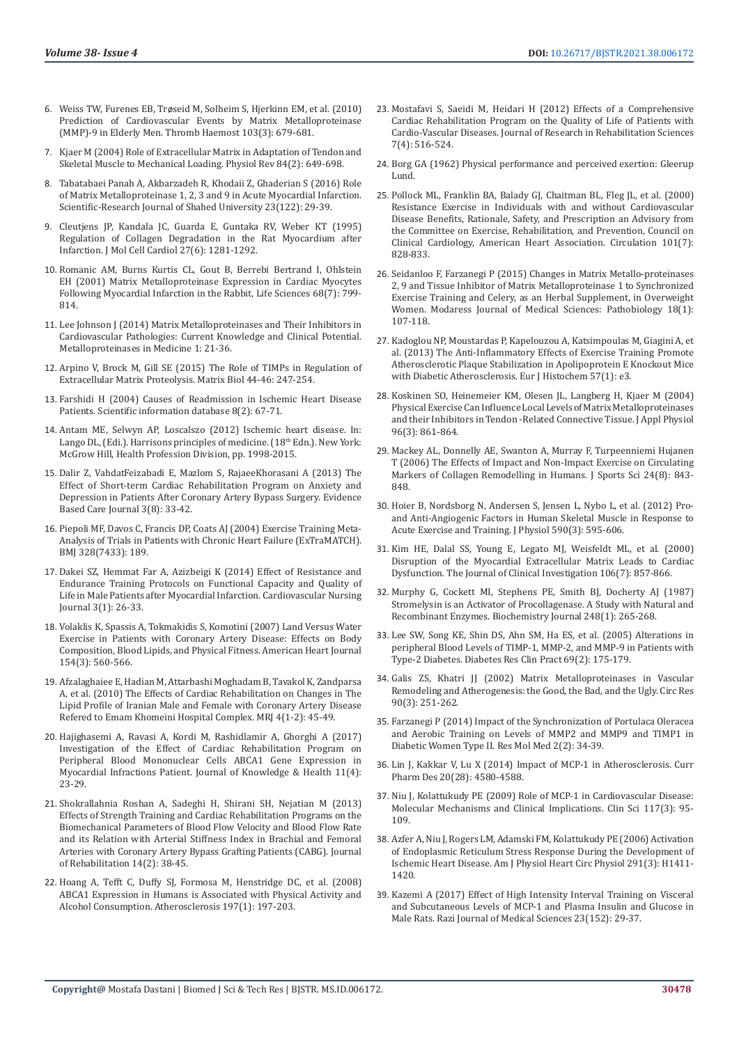- 6. Weiss TW, Furenes EB, Trø[seid M, Solheim S, Hjerkinn EM, et al. \(2010\)](https://pubmed.ncbi.nlm.nih.gov/20076844/)  [Prediction of Cardiovascular Events by Matrix Metalloproteinase](https://pubmed.ncbi.nlm.nih.gov/20076844/)  [\(MMP\)-9 in Elderly Men. Thromb Haemost 103\(3\): 679-681.](https://pubmed.ncbi.nlm.nih.gov/20076844/)
- 7. [Kjaer M \(2004\) Role of Extracellular Matrix in Adaptation of Tendon and](https://pubmed.ncbi.nlm.nih.gov/15044685/)  [Skeletal Muscle to Mechanical Loading. Physiol Rev 84\(2\): 649-698.](https://pubmed.ncbi.nlm.nih.gov/15044685/)
- 8. Tabatabaei Panah A, Akbarzadeh R, Khodaii Z, Ghaderian S (2016) Role of Matrix Metalloproteinase 1, 2, 3 and 9 in Acute Myocardial Infarction. Scientific-Research Journal of Shahed University 23(122): 29-39.
- 9. [Cleutjens JP, Kandala JC, Guarda E, Guntaka RV, Weber KT \(1995\)](https://pubmed.ncbi.nlm.nih.gov/8531210/)  [Regulation of Collagen Degradation in the Rat Myocardium after](https://pubmed.ncbi.nlm.nih.gov/8531210/)  [Infarction. J Mol Cell Cardiol 27\(6\): 1281-1292.](https://pubmed.ncbi.nlm.nih.gov/8531210/)
- 10. [Romanic AM, Burns Kurtis CL, Gout B, Berrebi Bertrand I, Ohlstein](https://pubmed.ncbi.nlm.nih.gov/11205871/)  [EH \(2001\) Matrix Metalloproteinase Expression in Cardiac Myocytes](https://pubmed.ncbi.nlm.nih.gov/11205871/)  [Following Myocardial Infarction in the Rabbit, Life Sciences 68\(7\): 799-](https://pubmed.ncbi.nlm.nih.gov/11205871/) [814.](https://pubmed.ncbi.nlm.nih.gov/11205871/)
- 11. [Lee Johnson J \(2014\) Matrix Metalloproteinases and Their Inhibitors in](https://www.dovepress.com/matrix-metalloproteinases-and-their-inhibitors-in-cardiovascular-patho-peer-reviewed-fulltext-article-MNM)  [Cardiovascular Pathologies: Current Knowledge and Clinical Potential.](https://www.dovepress.com/matrix-metalloproteinases-and-their-inhibitors-in-cardiovascular-patho-peer-reviewed-fulltext-article-MNM)  [Metalloproteinases in Medicine 1: 21-36.](https://www.dovepress.com/matrix-metalloproteinases-and-their-inhibitors-in-cardiovascular-patho-peer-reviewed-fulltext-article-MNM)
- 12. [Arpino V, Brock M, Gill SE \(2015\) The Role of TIMPs in Regulation of](https://pubmed.ncbi.nlm.nih.gov/25805621/)  [Extracellular Matrix Proteolysis. Matrix Biol 44-46: 247-254.](https://pubmed.ncbi.nlm.nih.gov/25805621/)
- 13. Farshidi H (2004) Causes of Readmission in Ischemic Heart Disease Patients. Scientific information database 8(2): 67-71.
- 14. Antam ME, Selwyn AP, Loscalszo (2012) Ischemic heart disease. In: Lango DL, (Edi.). Harrisons principles of medicine. (18<sup>th</sup> Edn.). New York: McGrow Hill, Health Profession Division, pp. 1998-2015.
- 15. Dalir Z, VahdatFeizabadi E, Mazlom S, RajaeeKhorasani A (2013) The Effect of Short-term Cardiac Rehabilitation Program on Anxiety and Depression in Patients After Coronary Artery Bypass Surgery. Evidence Based Care Journal 3(8): 33-42.
- 16. [Piepoli MF, Davos C, Francis DP, Coats AJ \(2004\) Exercise Training Meta-](https://pubmed.ncbi.nlm.nih.gov/14729656/)[Analysis of Trials in Patients with Chronic Heart Failure \(ExTraMATCH\).](https://pubmed.ncbi.nlm.nih.gov/14729656/)  [BMJ 328\(7433\): 189.](https://pubmed.ncbi.nlm.nih.gov/14729656/)
- 17. [Dakei SZ, Hemmat Far A, Azizbeigi K \(2014\) Effect of Resistance and](http://journal.icns.org.ir/article-1-164-en.html)  [Endurance Training Protocols on Functional Capacity and Quality of](http://journal.icns.org.ir/article-1-164-en.html)  [Life in Male Patients after Myocardial Infarction. Cardiovascular Nursing](http://journal.icns.org.ir/article-1-164-en.html)  [Journal 3\(1\): 26-33.](http://journal.icns.org.ir/article-1-164-en.html)
- 18. [Volaklis K, Spassis A, Tokmakidis S, Komotini \(2007\) Land Versus Water](https://pubmed.ncbi.nlm.nih.gov/17719306/)  [Exercise in Patients with Coronary Artery Disease: Effects on Body](https://pubmed.ncbi.nlm.nih.gov/17719306/)  [Composition, Blood Lipids, and Physical Fitness. American Heart Journal](https://pubmed.ncbi.nlm.nih.gov/17719306/)  [154\(3\): 560-566.](https://pubmed.ncbi.nlm.nih.gov/17719306/)
- 19. [Afzalaghaiee E, Hadian M, Attarbashi Moghadam B, Tavakol K, Zandparsa](https://www.sid.ir/en/journal/ViewPaper.aspx?ID=196965)  [A, et al. \(2010\) The Effects of Cardiac Rehabilitation on Changes in The](https://www.sid.ir/en/journal/ViewPaper.aspx?ID=196965)  [Lipid Profile of Iranian Male and Female with Coronary Artery Disease](https://www.sid.ir/en/journal/ViewPaper.aspx?ID=196965)  [Refered to Emam Khomeini Hospital Complex. MRJ 4\(1-2\): 45-49.](https://www.sid.ir/en/journal/ViewPaper.aspx?ID=196965)
- 20. Hajighasemi A, Ravasi A, Kordi M, Rashidlamir A, Ghorghi A (2017) Investigation of the Effect of Cardiac Rehabilitation Program on Peripheral Blood Mononuclear Cells ABCA1 Gene Expression in Myocardial Infractions Patient. Journal of Knowledge & Health 11(4): 23-29.
- 21. [Shokrallahnia Roshan A, Sadeghi H, Shirani SH, Nejatian M \(2013\)](https://rehabilitationj.uswr.ac.ir/browse.php?a_id=1121&sid=1&slc_lang=en)  [Effects of Strength Training and Cardiac Rehabilitation Programs on the](https://rehabilitationj.uswr.ac.ir/browse.php?a_id=1121&sid=1&slc_lang=en)  [Biomechanical Parameters of Blood Flow Velocity and Blood Flow Rate](https://rehabilitationj.uswr.ac.ir/browse.php?a_id=1121&sid=1&slc_lang=en)  [and its Relation with Arterial Stiffness Index in Brachial and Femoral](https://rehabilitationj.uswr.ac.ir/browse.php?a_id=1121&sid=1&slc_lang=en)  [Arteries with Coronary Artery Bypass Grafting Patients \(CABG\). Journal](https://rehabilitationj.uswr.ac.ir/browse.php?a_id=1121&sid=1&slc_lang=en)  [of Rehabilitation 14\(2\): 38-45.](https://rehabilitationj.uswr.ac.ir/browse.php?a_id=1121&sid=1&slc_lang=en)
- 22. [Hoang A, Tefft C, Duffy SJ, Formosa M, Henstridge DC, et al. \(2008\)](https://pubmed.ncbi.nlm.nih.gov/17481640/)  [ABCA1 Expression in Humans is Associated with Physical Activity and](https://pubmed.ncbi.nlm.nih.gov/17481640/)  [Alcohol Consumption. Atherosclerosis 197\(1\): 197-203.](https://pubmed.ncbi.nlm.nih.gov/17481640/)
- 23. [Mostafavi S, Saeidi M, Heidari H \(2012\) Effects of a Comprehensive](https://www.sid.ir/EN/JOURNAL/ViewPaper.aspx?ID=256032) [Cardiac Rehabilitation Program on the Quality of Life of Patients with](https://www.sid.ir/EN/JOURNAL/ViewPaper.aspx?ID=256032) [Cardio-Vascular Diseases. Journal of Research in Rehabilitation Sciences](https://www.sid.ir/EN/JOURNAL/ViewPaper.aspx?ID=256032) [7\(4\): 516-524.](https://www.sid.ir/EN/JOURNAL/ViewPaper.aspx?ID=256032)
- 24. [Borg GA \(1962\) Physical performance and perceived exertion: Gleerup](https://www.worldcat.org/title/physical-performance-and-perceived-exertion/oclc/459584683) [Lund.](https://www.worldcat.org/title/physical-performance-and-perceived-exertion/oclc/459584683)
- 25. [Pollock ML, Franklin BA, Balady GJ, Chaitman BL, Fleg JL, et al. \(2000\)](https://www.ahajournals.org/doi/full/10.1161/01.CIR.101.7.828) [Resistance Exercise in Individuals with and without Cardiovascular](https://www.ahajournals.org/doi/full/10.1161/01.CIR.101.7.828) [Disease Benefits, Rationale, Safety, and Prescription an Advisory from](https://www.ahajournals.org/doi/full/10.1161/01.CIR.101.7.828) [the Committee on Exercise, Rehabilitation, and Prevention, Council on](https://www.ahajournals.org/doi/full/10.1161/01.CIR.101.7.828) [Clinical Cardiology, American Heart Association. Circulation 101\(7\):](https://www.ahajournals.org/doi/full/10.1161/01.CIR.101.7.828) [828-833.](https://www.ahajournals.org/doi/full/10.1161/01.CIR.101.7.828)
- 26. [Seidanloo F, Farzanegi P \(2015\) Changes in Matrix Metallo-proteinases](https://pesquisa.bvsalud.org/portal/resource/pt/emr-185172) [2, 9 and Tissue Inhibitor of Matrix Metalloproteinase 1 to Synchronized](https://pesquisa.bvsalud.org/portal/resource/pt/emr-185172) [Exercise Training and Celery, as an Herbal Supplement, in Overweight](https://pesquisa.bvsalud.org/portal/resource/pt/emr-185172) [Women. Modaress Journal of Medical Sciences: Pathobiology 18\(1\):](https://pesquisa.bvsalud.org/portal/resource/pt/emr-185172) [107-118.](https://pesquisa.bvsalud.org/portal/resource/pt/emr-185172)
- 27. [Kadoglou NP, Moustardas P, Kapelouzou A, Katsimpoulas M, Giagini A, et](https://www.ncbi.nlm.nih.gov/pmc/articles/PMC3683610/) [al. \(2013\) The Anti-Inflammatory Effects of Exercise Training Promote](https://www.ncbi.nlm.nih.gov/pmc/articles/PMC3683610/) [Atherosclerotic Plaque Stabilization in Apolipoprotein E Knockout Mice](https://www.ncbi.nlm.nih.gov/pmc/articles/PMC3683610/) [with Diabetic Atherosclerosis. Eur J Histochem 57\(1\): e3.](https://www.ncbi.nlm.nih.gov/pmc/articles/PMC3683610/)
- 28. [Koskinen SO, Heinemeier KM, Olesen JL, Langberg H, Kjaer M \(2004\)](https://pubmed.ncbi.nlm.nih.gov/14506093/) [Physical Exercise Can Influence Local Levels of Matrix Metalloproteinases](https://pubmed.ncbi.nlm.nih.gov/14506093/) [and their Inhibitors in Tendon -Related Connective Tissue. J Appl Physiol](https://pubmed.ncbi.nlm.nih.gov/14506093/) [96\(3\): 861-864.](https://pubmed.ncbi.nlm.nih.gov/14506093/)
- 29. [Mackey AL, Donnelly AE, Swanton A, Murray F, Turpeenniemi Hujanen](https://pubmed.ncbi.nlm.nih.gov/16815778/) [T \(2006\) The Effects of Impact and Non-Impact Exercise on Circulating](https://pubmed.ncbi.nlm.nih.gov/16815778/) [Markers of Collagen Remodelling in Humans. J Sports Sci 24\(8\): 843-](https://pubmed.ncbi.nlm.nih.gov/16815778/) [848.](https://pubmed.ncbi.nlm.nih.gov/16815778/)
- 30. [Hoier B, Nordsborg N, Andersen S, Jensen L, Nybo L, et al. \(2012\) Pro](https://pubmed.ncbi.nlm.nih.gov/22155930/)[and Anti-Angiogenic Factors in Human Skeletal Muscle in Response to](https://pubmed.ncbi.nlm.nih.gov/22155930/) [Acute Exercise and Training. J Physiol 590\(3\): 595-606.](https://pubmed.ncbi.nlm.nih.gov/22155930/)
- 31. [Kim HE, Dalal SS, Young E, Legato MJ, Weisfeldt ML, et al. \(2000\)](https://pubmed.ncbi.nlm.nih.gov/11018073/) [Disruption of the Myocardial Extracellular Matrix Leads to Cardiac](https://pubmed.ncbi.nlm.nih.gov/11018073/) [Dysfunction. The Journal of Clinical Investigation 106\(7\): 857-866.](https://pubmed.ncbi.nlm.nih.gov/11018073/)
- 32. [Murphy G, Cockett MI, Stephens PE, Smith BJ, Docherty AJ \(1987\)](https://www.ncbi.nlm.nih.gov/pmc/articles/PMC1148528/) [Stromelysin is an Activator of Procollagenase. A Study with Natural and](https://www.ncbi.nlm.nih.gov/pmc/articles/PMC1148528/) [Recombinant Enzymes. Biochemistry Journal 248\(1\): 265-268.](https://www.ncbi.nlm.nih.gov/pmc/articles/PMC1148528/)
- 33. [Lee SW, Song KE, Shin DS, Ahn SM, Ha ES, et al. \(2005\) Alterations in](https://pubmed.ncbi.nlm.nih.gov/16005367/) [peripheral Blood Levels of TIMP-1, MMP-2, and MMP-9 in Patients with](https://pubmed.ncbi.nlm.nih.gov/16005367/) [Type-2 Diabetes. Diabetes Res Clin Pract 69\(2\): 175-179.](https://pubmed.ncbi.nlm.nih.gov/16005367/)
- 34. [Galis ZS, Khatri JJ \(2002\) Matrix Metalloproteinases in Vascular](https://pubmed.ncbi.nlm.nih.gov/11861412/) [Remodeling and Atherogenesis: the Good, the Bad, and the Ugly. Circ Res](https://pubmed.ncbi.nlm.nih.gov/11861412/) [90\(3\): 251-262.](https://pubmed.ncbi.nlm.nih.gov/11861412/)
- 35. [Farzanegi P \(2014\) Impact of the Synchronization of Portulaca Oleracea](https://pesquisa.bvsalud.org/portal/resource/pt/emr-152934) [and Aerobic Training on Levels of MMP2 and MMP9 and TIMP1 in](https://pesquisa.bvsalud.org/portal/resource/pt/emr-152934) [Diabetic Women Type II. Res Mol Med 2\(2\): 34-39.](https://pesquisa.bvsalud.org/portal/resource/pt/emr-152934)
- 36. [Lin J, Kakkar V, Lu X \(2014\) Impact of MCP-1 in Atherosclerosis. Curr](https://pubmed.ncbi.nlm.nih.gov/24862889/) [Pharm Des 20\(28\): 4580-4588.](https://pubmed.ncbi.nlm.nih.gov/24862889/)
- 37. [Niu J, Kolattukudy PE \(2009\) Role of MCP-1 in Cardiovascular Disease:](https://pubmed.ncbi.nlm.nih.gov/19566488/) [Molecular Mechanisms and Clinical Implications. Clin Sci 117\(3\): 95-](https://pubmed.ncbi.nlm.nih.gov/19566488/) [109.](https://pubmed.ncbi.nlm.nih.gov/19566488/)
- 38. [Azfer A, Niu J, Rogers LM, Adamski FM, Kolattukudy PE \(2006\) Activation](https://pubmed.ncbi.nlm.nih.gov/16617122/) [of Endoplasmic Reticulum Stress Response During the Development of](https://pubmed.ncbi.nlm.nih.gov/16617122/) [Ischemic Heart Disease. Am J Physiol Heart Circ Physiol 291\(3\): H1411-](https://pubmed.ncbi.nlm.nih.gov/16617122/) [1420.](https://pubmed.ncbi.nlm.nih.gov/16617122/)
- 39. [Kazemi A \(2017\) Effect of High Intensity Interval Training on Visceral](https://www.sid.ir/EN/JOURNAL/ViewPaper.aspx?ID=544580) [and Subcutaneous Levels of MCP-1 and Plasma Insulin and Glucose in](https://www.sid.ir/EN/JOURNAL/ViewPaper.aspx?ID=544580) [Male Rats. Razi Journal of Medical Sciences 23\(152\): 29-37.](https://www.sid.ir/EN/JOURNAL/ViewPaper.aspx?ID=544580)